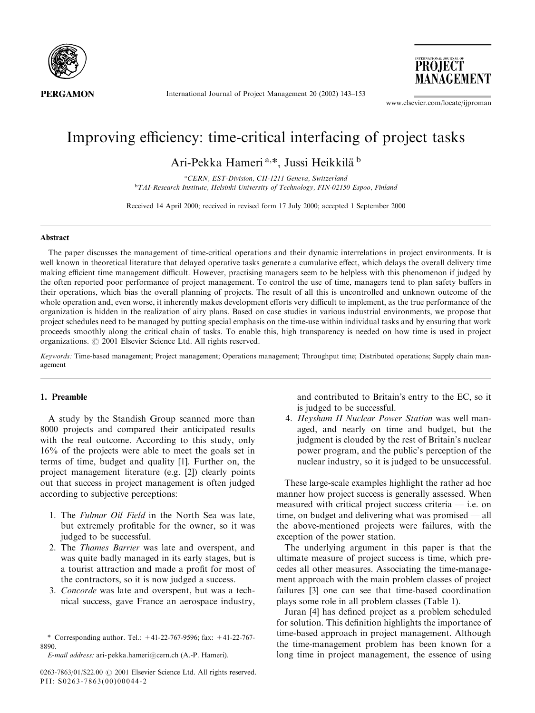

International Journal of Project Management 20 (2002) 143-153

**PROJECT** MANAGEMENT

www.elsevier.com/locate/ijproman

# Improving efficiency: time-critical interfacing of project tasks

Ari-Pekka Hameri<sup>a,\*</sup>, Jussi Heikkilä<sup>b</sup>

aCERN, EST-Division, CH-1211 Geneva, Switzerland <sup>b</sup>TAI-Research Institute, Helsinki University of Technology, FIN-02150 Espoo, Finland

Received 14 April 2000; received in revised form 17 July 2000; accepted 1 September 2000

## Abstract

The paper discusses the management of time-critical operations and their dynamic interrelations in project environments. It is well known in theoretical literature that delayed operative tasks generate a cumulative effect, which delays the overall delivery time making efficient time management difficult. However, practising managers seem to be helpless with this phenomenon if judged by the often reported poor performance of project management. To control the use of time, managers tend to plan safety buffers in their operations, which bias the overall planning of projects. The result of all this is uncontrolled and unknown outcome of the whole operation and, even worse, it inherently makes development efforts very difficult to implement, as the true performance of the organization is hidden in the realization of airy plans. Based on case studies in various industrial environments, we propose that project schedules need to be managed by putting special emphasis on the time-use within individual tasks and by ensuring that work proceeds smoothly along the critical chain of tasks. To enable this, high transparency is needed on how time is used in project organizations. © 2001 Elsevier Science Ltd. All rights reserved.

Keywords: Time-based management; Project management; Operations management; Throughput time; Distributed operations; Supply chain management

#### 1. Preamble

A study by the Standish Group scanned more than 8000 projects and compared their anticipated results with the real outcome. According to this study, only  $16\%$  of the projects were able to meet the goals set in terms of time, budget and quality [1]. Further on, the project management literature (e.g. [2]) clearly points out that success in project management is often judged according to subjective perceptions:

- 1. The Fulmar Oil Field in the North Sea was late, but extremely profitable for the owner, so it was judged to be successful.
- 2. The *Thames Barrier* was late and overspent, and was quite badly managed in its early stages, but is a tourist attraction and made a profit for most of the contractors, so it is now judged a success.
- 3. Concorde was late and overspent, but was a technical success, gave France an aerospace industry,

0263-7863/01/\$22.00 C 2001 Elsevier Science Ltd. All rights reserved. PII: S0263-7863(00)00044-2

and contributed to Britain's entry to the EC, so it is judged to be successful.

4. Heysham II Nuclear Power Station was well managed, and nearly on time and budget, but the judgment is clouded by the rest of Britain's nuclear power program, and the public's perception of the nuclear industry, so it is judged to be unsuccessful.

These large-scale examples highlight the rather ad hoc manner how project success is generally assessed. When measured with critical project success criteria - i.e. on time, on budget and delivering what was promised  $-$  all the above-mentioned projects were failures, with the exception of the power station.

The underlying argument in this paper is that the ultimate measure of project success is time, which precedes all other measures. Associating the time-management approach with the main problem classes of project failures [3] one can see that time-based coordination plays some role in all problem classes (Table 1).

Juran [4] has defined project as a problem scheduled for solution. This definition highlights the importance of time-based approach in project management. Although the time-management problem has been known for a long time in project management, the essence of using

<sup>\*</sup> Corresponding author. Tel.:  $+41-22-767-9596$ : fax:  $+41-22-767-$ 8890

E-mail address: ari-pekka.hameri@cern.ch (A.-P. Hameri).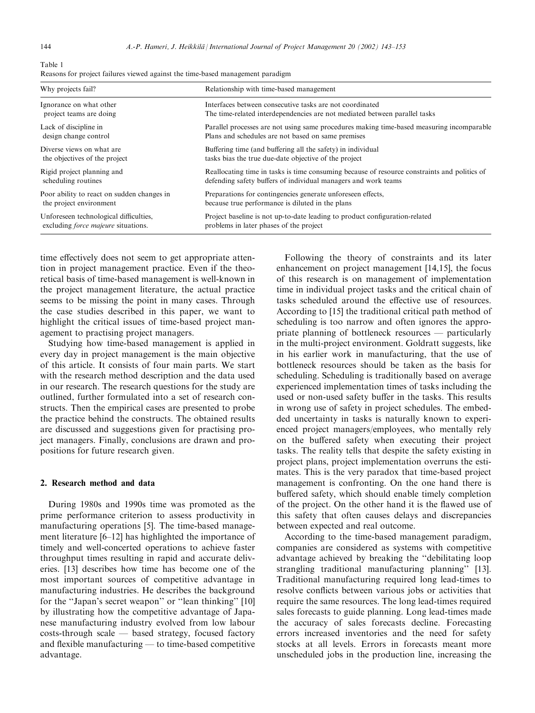Table 1 Reasons for project failures viewed against the time-based management paradigm

| Why projects fail?                         | Relationship with time-based management                                                      |
|--------------------------------------------|----------------------------------------------------------------------------------------------|
| Ignorance on what other                    | Interfaces between consecutive tasks are not coordinated                                     |
| project teams are doing                    | The time-related interdependencies are not mediated between parallel tasks                   |
| Lack of discipline in                      | Parallel processes are not using same procedures making time-based measuring incomparable    |
| design change control                      | Plans and schedules are not based on same premises                                           |
| Diverse views on what are                  | Buffering time (and buffering all the safety) in individual                                  |
| the objectives of the project              | tasks bias the true due-date objective of the project                                        |
| Rigid project planning and                 | Reallocating time in tasks is time consuming because of resource constraints and politics of |
| scheduling routines                        | defending safety buffers of individual managers and work teams                               |
| Poor ability to react on sudden changes in | Preparations for contingencies generate unforeseen effects,                                  |
| the project environment                    | because true performance is diluted in the plans                                             |
| Unforeseen technological difficulties,     | Project baseline is not up-to-date leading to product configuration-related                  |
| excluding <i>force majeure</i> situations. | problems in later phases of the project                                                      |

time effectively does not seem to get appropriate attention in project management practice. Even if the theoretical basis of time-based management is well-known in the project management literature, the actual practice seems to be missing the point in many cases. Through the case studies described in this paper, we want to highlight the critical issues of time-based project management to practising project managers.

Studying how time-based management is applied in every day in project management is the main objective of this article. It consists of four main parts. We start with the research method description and the data used in our research. The research questions for the study are outlined, further formulated into a set of research constructs. Then the empirical cases are presented to probe the practice behind the constructs. The obtained results are discussed and suggestions given for practising project managers. Finally, conclusions are drawn and propositions for future research given.

## 2. Research method and data

During 1980s and 1990s time was promoted as the prime performance criterion to assess productivity in manufacturing operations [5]. The time-based management literature [6-12] has highlighted the importance of timely and well-concerted operations to achieve faster throughput times resulting in rapid and accurate deliveries. [13] describes how time has become one of the most important sources of competitive advantage in manufacturing industries. He describes the background for the "Japan's secret weapon" or "lean thinking" [10] by illustrating how the competitive advantage of Japanese manufacturing industry evolved from low labour  $costs-th rough scale$   $-$  based strategy, focused factory and flexible manufacturing — to time-based competitive advantage.

Following the theory of constraints and its later enhancement on project management [14,15], the focus of this research is on management of implementation time in individual project tasks and the critical chain of tasks scheduled around the effective use of resources. According to [15] the traditional critical path method of scheduling is too narrow and often ignores the appropriate planning of bottleneck resources — particularly in the multi-project environment. Goldratt suggests, like in his earlier work in manufacturing, that the use of bottleneck resources should be taken as the basis for scheduling. Scheduling is traditionally based on average experienced implementation times of tasks including the used or non-used safety buffer in the tasks. This results in wrong use of safety in project schedules. The embedded uncertainty in tasks is naturally known to experienced project managers/employees, who mentally rely on the buffered safety when executing their project tasks. The reality tells that despite the safety existing in project plans, project implementation overruns the estimates. This is the very paradox that time-based project management is confronting. On the one hand there is buffered safety, which should enable timely completion of the project. On the other hand it is the flawed use of this safety that often causes delays and discrepancies between expected and real outcome.

According to the time-based management paradigm, companies are considered as systems with competitive advantage achieved by breaking the "debilitating loop" strangling traditional manufacturing planning" [13]. Traditional manufacturing required long lead-times to resolve conflicts between various jobs or activities that require the same resources. The long lead-times required sales forecasts to guide planning. Long lead-times made the accuracy of sales forecasts decline. Forecasting errors increased inventories and the need for safety stocks at all levels. Errors in forecasts meant more unscheduled jobs in the production line, increasing the